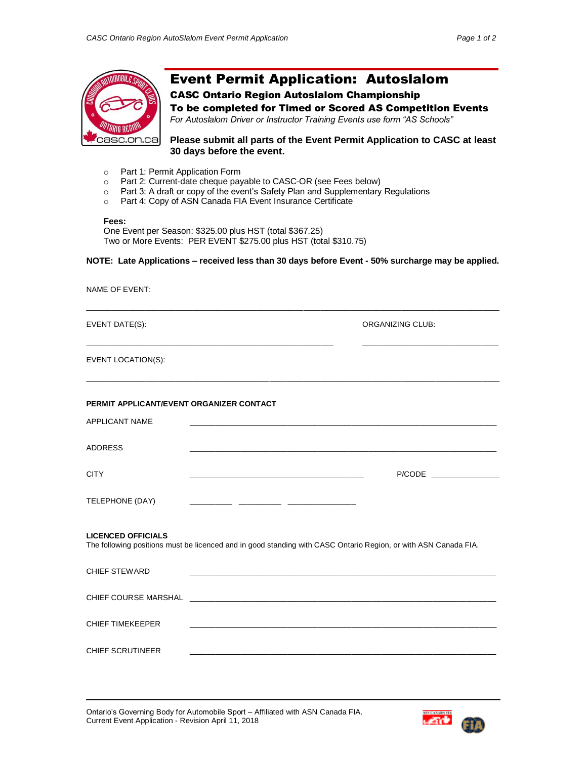

# Event Permit Application: Autoslalom

# CASC Ontario Region Autoslalom Championship

To be completed for Timed or Scored AS Competition Events *For Autoslalom Driver or Instructor Training Events use form "AS Schools"*

**Please submit all parts of the Event Permit Application to CASC at least 30 days before the event.**

- o Part 1: Permit Application Form
- o Part 2: Current-date cheque payable to CASC-OR (see Fees below)
- o Part 3: A draft or copy of the event's Safety Plan and Supplementary Regulations
- o Part 4: Copy of ASN Canada FIA Event Insurance Certificate

### **Fees:**

One Event per Season: \$325.00 plus HST (total \$367.25) Two or More Events: PER EVENT \$275.00 plus HST (total \$310.75)

# **NOTE: Late Applications – received less than 30 days before Event - 50% surcharge may be applied.**

| <b>NAME OF EVENT:</b>                                                                                                                        |                                                                                                                         |  |  |  |
|----------------------------------------------------------------------------------------------------------------------------------------------|-------------------------------------------------------------------------------------------------------------------------|--|--|--|
| EVENT DATE(S):                                                                                                                               | <b>ORGANIZING CLUB:</b>                                                                                                 |  |  |  |
| <b>EVENT LOCATION(S):</b>                                                                                                                    |                                                                                                                         |  |  |  |
| PERMIT APPLICANT/EVENT ORGANIZER CONTACT                                                                                                     |                                                                                                                         |  |  |  |
| APPLICANT NAME                                                                                                                               |                                                                                                                         |  |  |  |
| <b>ADDRESS</b>                                                                                                                               | <u> 1989 - Johann Stein, mars an deutscher Stein und der Stein und der Stein und der Stein und der Stein und der</u>    |  |  |  |
| <b>CITY</b>                                                                                                                                  |                                                                                                                         |  |  |  |
| TELEPHONE (DAY)                                                                                                                              |                                                                                                                         |  |  |  |
| <b>LICENCED OFFICIALS</b><br>The following positions must be licenced and in good standing with CASC Ontario Region, or with ASN Canada FIA. |                                                                                                                         |  |  |  |
| <b>CHIEF STEWARD</b>                                                                                                                         |                                                                                                                         |  |  |  |
|                                                                                                                                              |                                                                                                                         |  |  |  |
| <b>CHIEF TIMEKEEPER</b>                                                                                                                      | <u> 1989 - Johann John Stoff, deutscher Stoff, der Stoff, der Stoff, der Stoff, der Stoff, der Stoff, der Stoff, </u>   |  |  |  |
| <b>CHIEF SCRUTINEER</b>                                                                                                                      | <u> 1990 - Johann John Stoff, deutscher Stoff und der Stoff und der Stoff und der Stoff und der Stoff und der Stoff</u> |  |  |  |